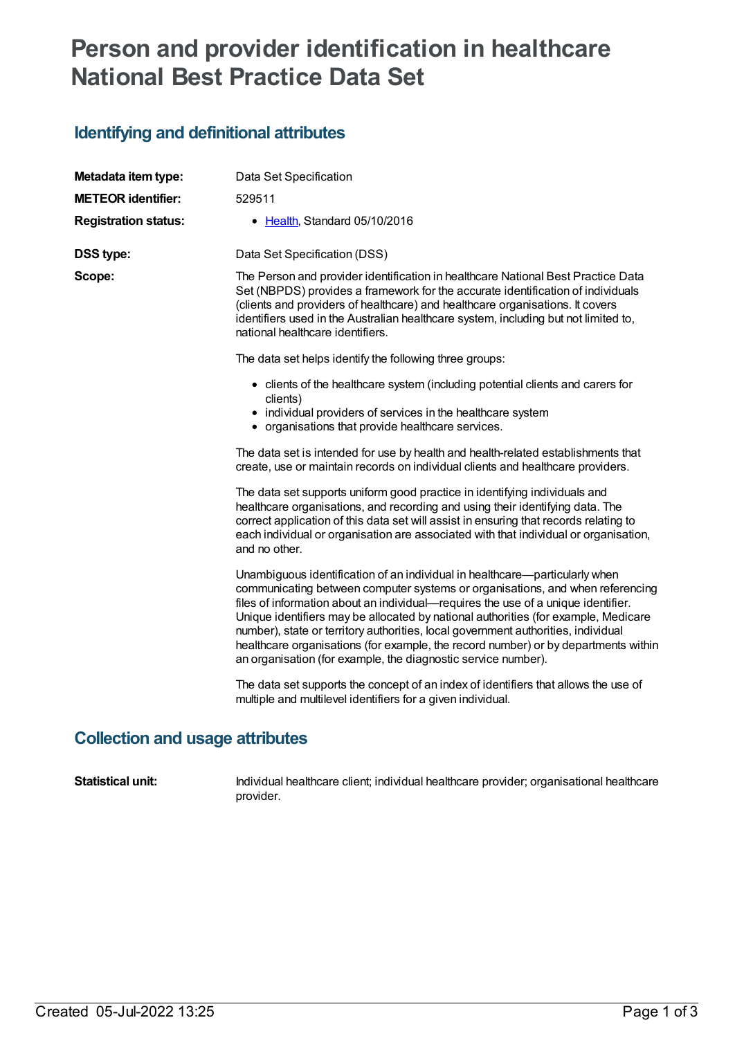## **Person and provider identification in healthcare National Best Practice Data Set**

## **Identifying and definitional attributes**

| Metadata item type:         | Data Set Specification                                                                                                                                                                                                                                                                                                                                                                                                                                                                                                                                                              |  |  |
|-----------------------------|-------------------------------------------------------------------------------------------------------------------------------------------------------------------------------------------------------------------------------------------------------------------------------------------------------------------------------------------------------------------------------------------------------------------------------------------------------------------------------------------------------------------------------------------------------------------------------------|--|--|
| <b>METEOR identifier:</b>   | 529511                                                                                                                                                                                                                                                                                                                                                                                                                                                                                                                                                                              |  |  |
| <b>Registration status:</b> | • Health, Standard 05/10/2016                                                                                                                                                                                                                                                                                                                                                                                                                                                                                                                                                       |  |  |
| <b>DSS type:</b>            | Data Set Specification (DSS)                                                                                                                                                                                                                                                                                                                                                                                                                                                                                                                                                        |  |  |
| Scope:                      | The Person and provider identification in healthcare National Best Practice Data<br>Set (NBPDS) provides a framework for the accurate identification of individuals<br>(clients and providers of healthcare) and healthcare organisations. It covers<br>identifiers used in the Australian healthcare system, including but not limited to,<br>national healthcare identifiers.                                                                                                                                                                                                     |  |  |
|                             | The data set helps identify the following three groups:                                                                                                                                                                                                                                                                                                                                                                                                                                                                                                                             |  |  |
|                             | • clients of the healthcare system (including potential clients and carers for<br>clients)                                                                                                                                                                                                                                                                                                                                                                                                                                                                                          |  |  |
|                             | • individual providers of services in the healthcare system<br>• organisations that provide healthcare services.                                                                                                                                                                                                                                                                                                                                                                                                                                                                    |  |  |
|                             | The data set is intended for use by health and health-related establishments that<br>create, use or maintain records on individual clients and healthcare providers.                                                                                                                                                                                                                                                                                                                                                                                                                |  |  |
|                             | The data set supports uniform good practice in identifying individuals and<br>healthcare organisations, and recording and using their identifying data. The<br>correct application of this data set will assist in ensuring that records relating to<br>each individual or organisation are associated with that individual or organisation,<br>and no other.                                                                                                                                                                                                                       |  |  |
|                             | Unambiguous identification of an individual in healthcare—particularly when<br>communicating between computer systems or organisations, and when referencing<br>files of information about an individual-requires the use of a unique identifier.<br>Unique identifiers may be allocated by national authorities (for example, Medicare<br>number), state or territory authorities, local government authorities, individual<br>healthcare organisations (for example, the record number) or by departments within<br>an organisation (for example, the diagnostic service number). |  |  |
|                             | The data set supports the concept of an index of identifiers that allows the use of<br>multiple and multilevel identifiers for a given individual.                                                                                                                                                                                                                                                                                                                                                                                                                                  |  |  |

## **Collection and usage attributes**

**Statistical unit:** Individual healthcare client; individual healthcare provider; organisational healthcare provider.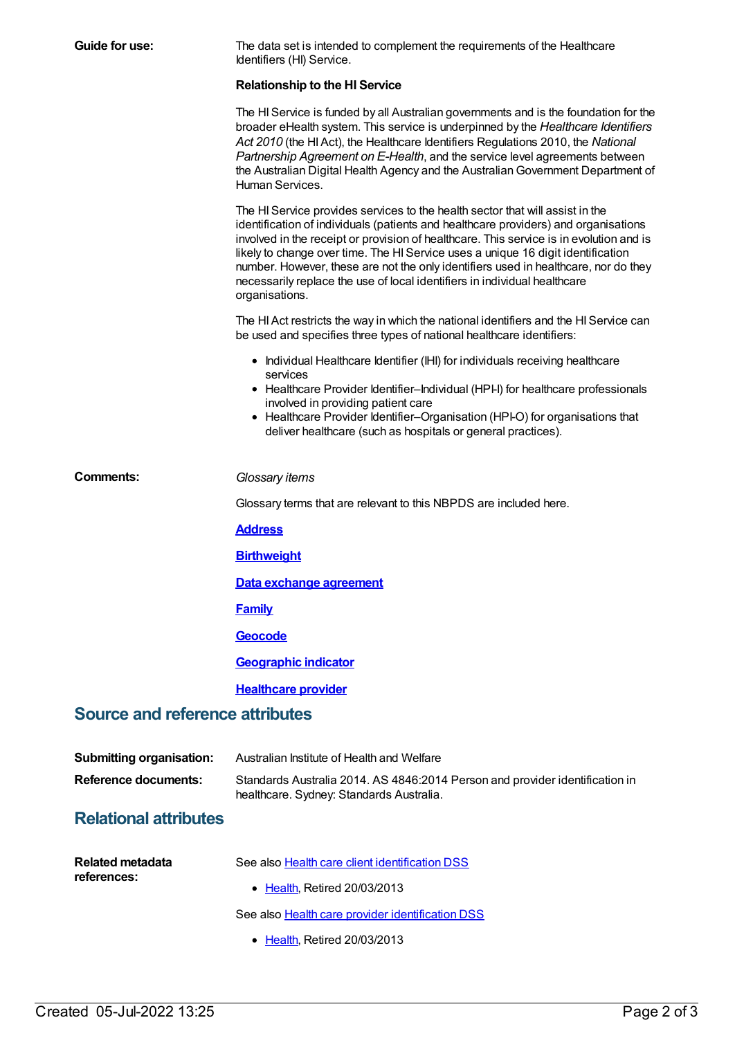| Guide for use:                         | The data set is intended to complement the requirements of the Healthcare<br>Identifiers (HI) Service.                                                                                                                                                                                                                                                                                                                                                                                                                                    |  |  |  |  |
|----------------------------------------|-------------------------------------------------------------------------------------------------------------------------------------------------------------------------------------------------------------------------------------------------------------------------------------------------------------------------------------------------------------------------------------------------------------------------------------------------------------------------------------------------------------------------------------------|--|--|--|--|
|                                        | <b>Relationship to the HI Service</b>                                                                                                                                                                                                                                                                                                                                                                                                                                                                                                     |  |  |  |  |
|                                        | The HI Service is funded by all Australian governments and is the foundation for the<br>broader eHealth system. This service is underpinned by the Healthcare Identifiers<br>Act 2010 (the HI Act), the Healthcare Identifiers Regulations 2010, the National<br>Partnership Agreement on E-Health, and the service level agreements between<br>the Australian Digital Health Agency and the Australian Government Department of<br>Human Services.                                                                                       |  |  |  |  |
|                                        | The HI Service provides services to the health sector that will assist in the<br>identification of individuals (patients and healthcare providers) and organisations<br>involved in the receipt or provision of healthcare. This service is in evolution and is<br>likely to change over time. The HI Service uses a unique 16 digit identification<br>number. However, these are not the only identifiers used in healthcare, nor do they<br>necessarily replace the use of local identifiers in individual healthcare<br>organisations. |  |  |  |  |
|                                        | The HI Act restricts the way in which the national identifiers and the HI Service can<br>be used and specifies three types of national healthcare identifiers:                                                                                                                                                                                                                                                                                                                                                                            |  |  |  |  |
|                                        | • Individual Healthcare Identifier (IHI) for individuals receiving healthcare<br>services                                                                                                                                                                                                                                                                                                                                                                                                                                                 |  |  |  |  |
|                                        | • Healthcare Provider Identifier-Individual (HPI-I) for healthcare professionals<br>involved in providing patient care                                                                                                                                                                                                                                                                                                                                                                                                                    |  |  |  |  |
|                                        | • Healthcare Provider Identifier-Organisation (HPI-O) for organisations that<br>deliver healthcare (such as hospitals or general practices).                                                                                                                                                                                                                                                                                                                                                                                              |  |  |  |  |
| <b>Comments:</b>                       | Glossary items                                                                                                                                                                                                                                                                                                                                                                                                                                                                                                                            |  |  |  |  |
|                                        | Glossary terms that are relevant to this NBPDS are included here.                                                                                                                                                                                                                                                                                                                                                                                                                                                                         |  |  |  |  |
|                                        | <b>Address</b>                                                                                                                                                                                                                                                                                                                                                                                                                                                                                                                            |  |  |  |  |
|                                        | <b>Birthweight</b>                                                                                                                                                                                                                                                                                                                                                                                                                                                                                                                        |  |  |  |  |
|                                        | Data exchange agreement                                                                                                                                                                                                                                                                                                                                                                                                                                                                                                                   |  |  |  |  |
|                                        | <b>Family</b>                                                                                                                                                                                                                                                                                                                                                                                                                                                                                                                             |  |  |  |  |
|                                        | Geocode                                                                                                                                                                                                                                                                                                                                                                                                                                                                                                                                   |  |  |  |  |
|                                        | <b>Geographic indicator</b>                                                                                                                                                                                                                                                                                                                                                                                                                                                                                                               |  |  |  |  |
|                                        | <b>Healthcare provider</b>                                                                                                                                                                                                                                                                                                                                                                                                                                                                                                                |  |  |  |  |
| <b>Source and reference attributes</b> |                                                                                                                                                                                                                                                                                                                                                                                                                                                                                                                                           |  |  |  |  |
| <b>Submitting organisation:</b>        | Australian Institute of Health and Welfare                                                                                                                                                                                                                                                                                                                                                                                                                                                                                                |  |  |  |  |
| <b>Reference documents:</b>            | Standards Australia 2014. AS 4846:2014 Person and provider identification in<br>healthcare. Sydney: Standards Australia.                                                                                                                                                                                                                                                                                                                                                                                                                  |  |  |  |  |
| <b>Relational attributes</b>           |                                                                                                                                                                                                                                                                                                                                                                                                                                                                                                                                           |  |  |  |  |
| <b>Related metadata</b>                | See also Health care client identification DSS                                                                                                                                                                                                                                                                                                                                                                                                                                                                                            |  |  |  |  |
| references:                            | • Health, Retired 20/03/2013                                                                                                                                                                                                                                                                                                                                                                                                                                                                                                              |  |  |  |  |
|                                        | See also Health care provider identification DSS                                                                                                                                                                                                                                                                                                                                                                                                                                                                                          |  |  |  |  |
|                                        | • Health, Retired 20/03/2013                                                                                                                                                                                                                                                                                                                                                                                                                                                                                                              |  |  |  |  |